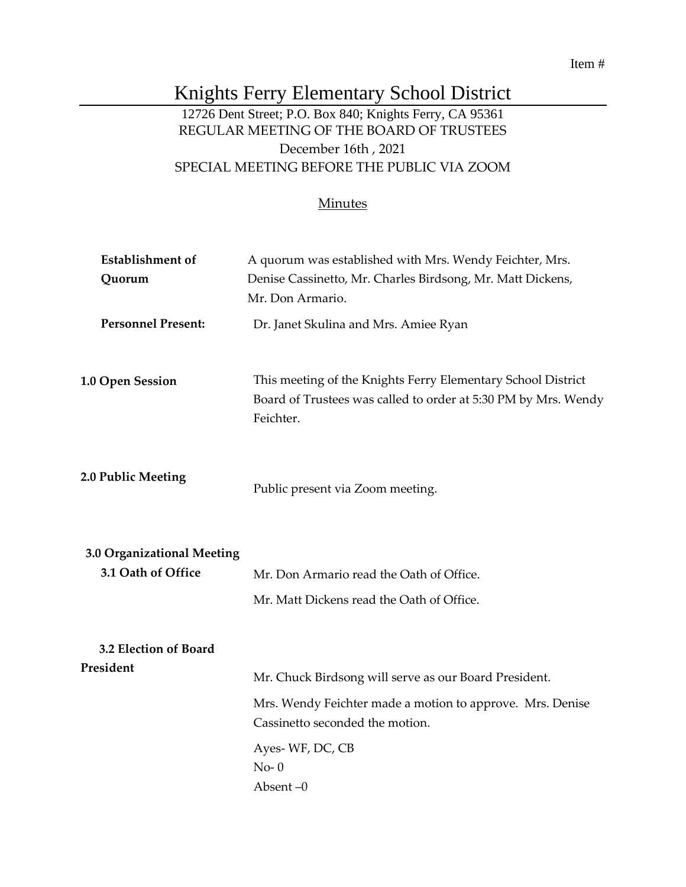Item #

## Knights Ferry Elementary School District

## 12726 Dent Street; P.O. Box 840; Knights Ferry, CA 95361 REGULAR MEETING OF THE BOARD OF TRUSTEES December 16th , 2021 SPECIAL MEETING BEFORE THE PUBLIC VIA ZOOM

## **Minutes**

| <b>Establishment</b> of    | A quorum was established with Mrs. Wendy Feichter, Mrs.                                                                                     |
|----------------------------|---------------------------------------------------------------------------------------------------------------------------------------------|
| Quorum                     | Denise Cassinetto, Mr. Charles Birdsong, Mr. Matt Dickens,                                                                                  |
|                            | Mr. Don Armario.                                                                                                                            |
| <b>Personnel Present:</b>  | Dr. Janet Skulina and Mrs. Amiee Ryan                                                                                                       |
| 1.0 Open Session           | This meeting of the Knights Ferry Elementary School District<br>Board of Trustees was called to order at 5:30 PM by Mrs. Wendy<br>Feichter. |
| 2.0 Public Meeting         | Public present via Zoom meeting.                                                                                                            |
| 3.0 Organizational Meeting |                                                                                                                                             |
| 3.1 Oath of Office         | Mr. Don Armario read the Oath of Office.                                                                                                    |
|                            | Mr. Matt Dickens read the Oath of Office.                                                                                                   |
| 3.2 Election of Board      |                                                                                                                                             |
| President                  | Mr. Chuck Birdsong will serve as our Board President.                                                                                       |
|                            | Mrs. Wendy Feichter made a motion to approve. Mrs. Denise<br>Cassinetto seconded the motion.                                                |
|                            | Ayes-WF, DC, CB<br>$No-0$<br>Absent $-0$                                                                                                    |
|                            |                                                                                                                                             |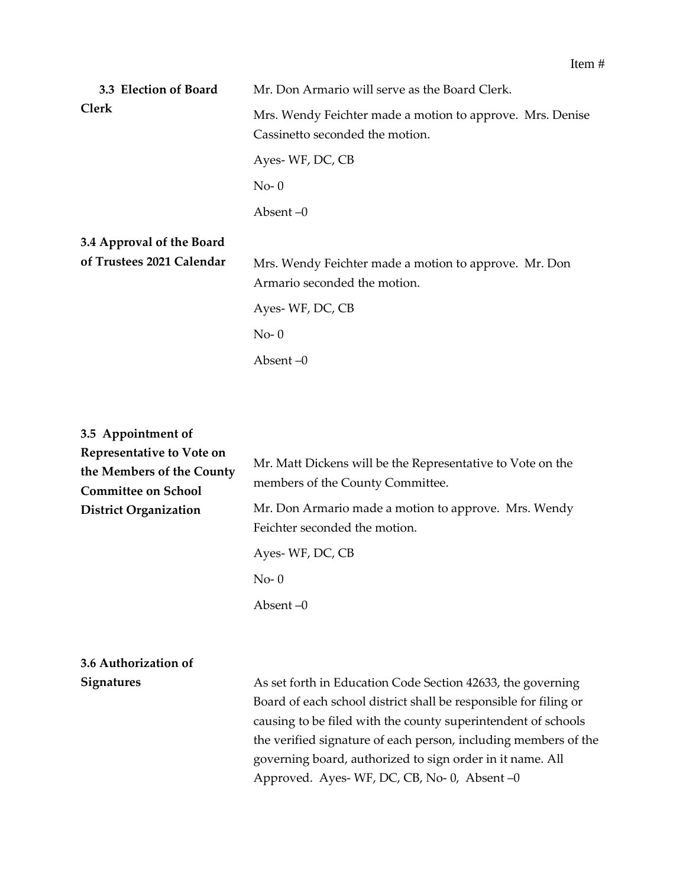| 3.3 Election of Board     | Mr. Don Armario will serve as the Board Clerk.                                               |
|---------------------------|----------------------------------------------------------------------------------------------|
| <b>Clerk</b>              | Mrs. Wendy Feichter made a motion to approve. Mrs. Denise<br>Cassinetto seconded the motion. |
|                           | Ayes-WF, DC, CB                                                                              |
|                           | $No-0$                                                                                       |
|                           | Absent $-0$                                                                                  |
| 3.4 Approval of the Board |                                                                                              |
| of Trustees 2021 Calendar | Mrs. Wendy Feichter made a motion to approve. Mr. Don<br>Armario seconded the motion.        |
|                           | Ayes-WF, DC, CB                                                                              |

No- 0

Absent –0

| 3.5 Appointment of<br>Representative to Vote on<br>the Members of the County<br><b>Committee on School</b> | Mr. Matt Dickens will be the Representative to Vote on the<br>members of the County Committee.                                                                                                                                                                                                                                                                                 |
|------------------------------------------------------------------------------------------------------------|--------------------------------------------------------------------------------------------------------------------------------------------------------------------------------------------------------------------------------------------------------------------------------------------------------------------------------------------------------------------------------|
| <b>District Organization</b>                                                                               | Mr. Don Armario made a motion to approve. Mrs. Wendy<br>Feichter seconded the motion.                                                                                                                                                                                                                                                                                          |
|                                                                                                            | Ayes-WF, DC, CB                                                                                                                                                                                                                                                                                                                                                                |
|                                                                                                            | $No-0$                                                                                                                                                                                                                                                                                                                                                                         |
|                                                                                                            | Absent $-0$                                                                                                                                                                                                                                                                                                                                                                    |
|                                                                                                            |                                                                                                                                                                                                                                                                                                                                                                                |
| 3.6 Authorization of                                                                                       |                                                                                                                                                                                                                                                                                                                                                                                |
| <b>Signatures</b>                                                                                          | As set forth in Education Code Section 42633, the governing<br>Board of each school district shall be responsible for filing or<br>causing to be filed with the county superintendent of schools<br>the verified signature of each person, including members of the<br>governing board, authorized to sign order in it name. All<br>Approved. Ayes-WF, DC, CB, No-0, Absent -0 |